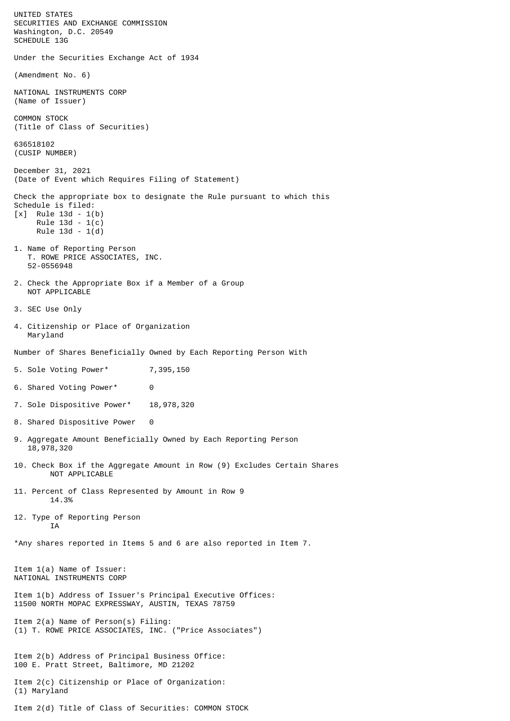UNITED STATES SECURITIES AND EXCHANGE COMMISSION Washington, D.C. 20549 SCHEDULE 13G Under the Securities Exchange Act of 1934 (Amendment No. 6) NATIONAL INSTRUMENTS CORP (Name of Issuer) COMMON STOCK (Title of Class of Securities) 636518102 (CUSIP NUMBER) December 31, 2021 (Date of Event which Requires Filing of Statement) Check the appropriate box to designate the Rule pursuant to which this Schedule is filed: [x] Rule 13d - 1(b) Rule 13d - 1(c) Rule 13d - 1(d) 1. Name of Reporting Person T. ROWE PRICE ASSOCIATES, INC. 52-0556948 2. Check the Appropriate Box if a Member of a Group NOT APPLICABLE 3. SEC Use Only 4. Citizenship or Place of Organization Maryland Number of Shares Beneficially Owned by Each Reporting Person With 5. Sole Voting Power\* 7,395,150 6. Shared Voting Power\* 0 7. Sole Dispositive Power\* 18,978,320 8. Shared Dispositive Power 0 9. Aggregate Amount Beneficially Owned by Each Reporting Person 18,978,320 10. Check Box if the Aggregate Amount in Row (9) Excludes Certain Shares NOT APPLICABLE 11. Percent of Class Represented by Amount in Row 9 14.3% 12. Type of Reporting Person **TA** \*Any shares reported in Items 5 and 6 are also reported in Item 7. Item 1(a) Name of Issuer: NATIONAL INSTRUMENTS CORP Item 1(b) Address of Issuer's Principal Executive Offices: 11500 NORTH MOPAC EXPRESSWAY, AUSTIN, TEXAS 78759 Item 2(a) Name of Person(s) Filing: (1) T. ROWE PRICE ASSOCIATES, INC. ("Price Associates") Item 2(b) Address of Principal Business Office: 100 E. Pratt Street, Baltimore, MD 21202 Item 2(c) Citizenship or Place of Organization: (1) Maryland Item 2(d) Title of Class of Securities: COMMON STOCK